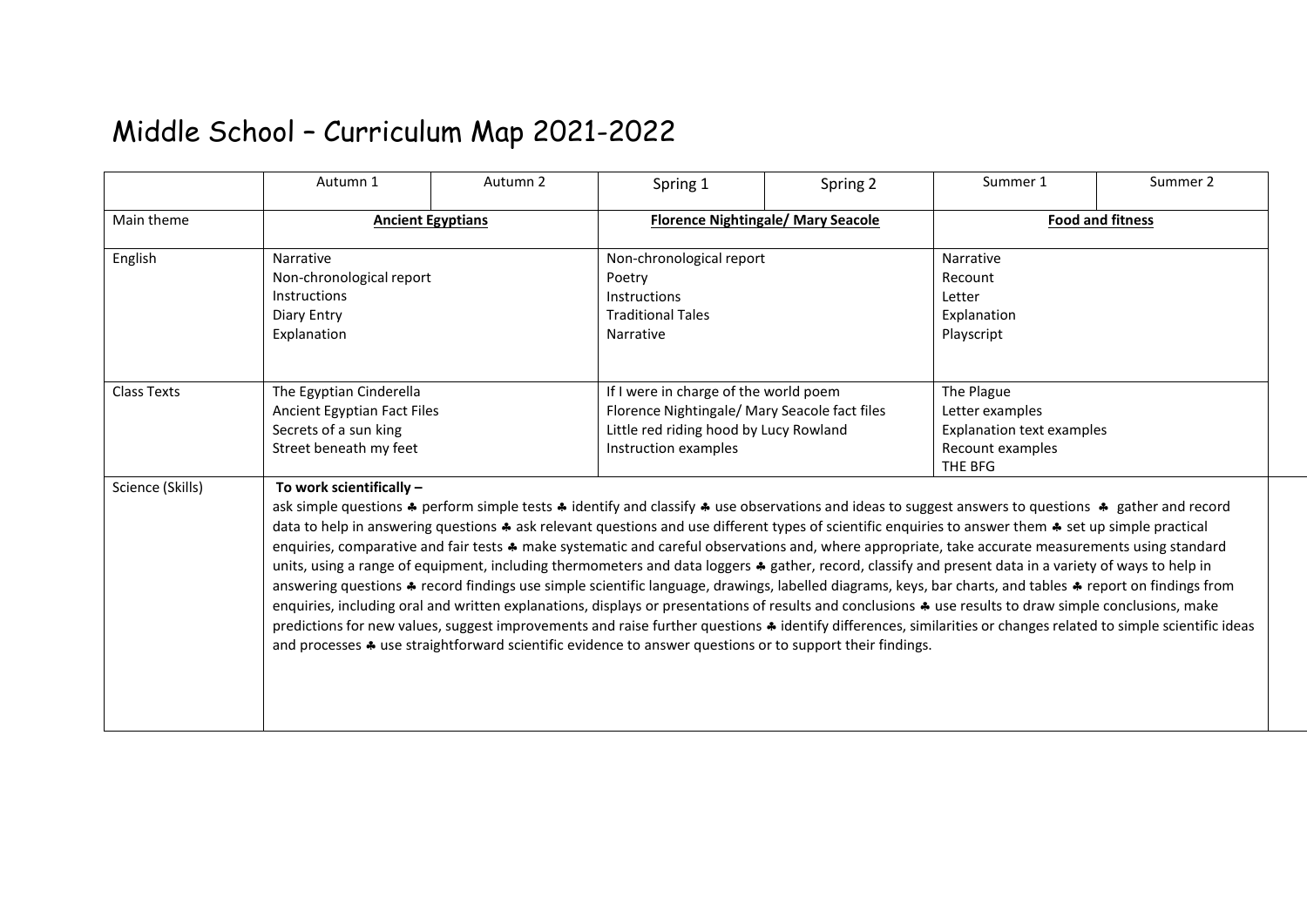## Middle School – Curriculum Map 2021-2022

|                    | Autumn 1                                                                                                                                                                                                                                                                                                                                                                                                                                                                                                                                                                                                                                                                                                                                                                                                                                                                                                                                                                                                                                                                                                                                                                                                                                                                                                  | Autumn 2 | Spring 1                                                                                                                                                 | Spring 2 | Summer 1                                                                                         | Summer 2 |
|--------------------|-----------------------------------------------------------------------------------------------------------------------------------------------------------------------------------------------------------------------------------------------------------------------------------------------------------------------------------------------------------------------------------------------------------------------------------------------------------------------------------------------------------------------------------------------------------------------------------------------------------------------------------------------------------------------------------------------------------------------------------------------------------------------------------------------------------------------------------------------------------------------------------------------------------------------------------------------------------------------------------------------------------------------------------------------------------------------------------------------------------------------------------------------------------------------------------------------------------------------------------------------------------------------------------------------------------|----------|----------------------------------------------------------------------------------------------------------------------------------------------------------|----------|--------------------------------------------------------------------------------------------------|----------|
| Main theme         | <b>Ancient Egyptians</b>                                                                                                                                                                                                                                                                                                                                                                                                                                                                                                                                                                                                                                                                                                                                                                                                                                                                                                                                                                                                                                                                                                                                                                                                                                                                                  |          | <b>Florence Nightingale/ Mary Seacole</b>                                                                                                                |          | <b>Food and fitness</b>                                                                          |          |
| English            | Narrative<br>Non-chronological report<br>Instructions<br>Diary Entry<br>Explanation                                                                                                                                                                                                                                                                                                                                                                                                                                                                                                                                                                                                                                                                                                                                                                                                                                                                                                                                                                                                                                                                                                                                                                                                                       |          | Non-chronological report<br>Poetry<br>Instructions<br><b>Traditional Tales</b><br>Narrative                                                              |          | Narrative<br>Recount<br>Letter<br>Explanation<br>Playscript                                      |          |
| <b>Class Texts</b> | The Egyptian Cinderella<br>Ancient Egyptian Fact Files<br>Secrets of a sun king<br>Street beneath my feet                                                                                                                                                                                                                                                                                                                                                                                                                                                                                                                                                                                                                                                                                                                                                                                                                                                                                                                                                                                                                                                                                                                                                                                                 |          | If I were in charge of the world poem<br>Florence Nightingale/ Mary Seacole fact files<br>Little red riding hood by Lucy Rowland<br>Instruction examples |          | The Plague<br>Letter examples<br><b>Explanation text examples</b><br>Recount examples<br>THE BFG |          |
| Science (Skills)   | To work scientifically -<br>ask simple questions ♣ perform simple tests ♣ identify and classify ♣ use observations and ideas to suggest answers to questions ♣ gather and record<br>data to help in answering questions $\clubsuit$ ask relevant questions and use different types of scientific enquiries to answer them $\clubsuit$ set up simple practical<br>enquiries, comparative and fair tests * make systematic and careful observations and, where appropriate, take accurate measurements using standard<br>units, using a range of equipment, including thermometers and data loggers * gather, record, classify and present data in a variety of ways to help in<br>answering questions * record findings use simple scientific language, drawings, labelled diagrams, keys, bar charts, and tables * report on findings from<br>enquiries, including oral and written explanations, displays or presentations of results and conclusions $\clubsuit$ use results to draw simple conclusions, make<br>predictions for new values, suggest improvements and raise further questions * identify differences, similarities or changes related to simple scientific ideas<br>and processes $\clubsuit$ use straightforward scientific evidence to answer questions or to support their findings. |          |                                                                                                                                                          |          |                                                                                                  |          |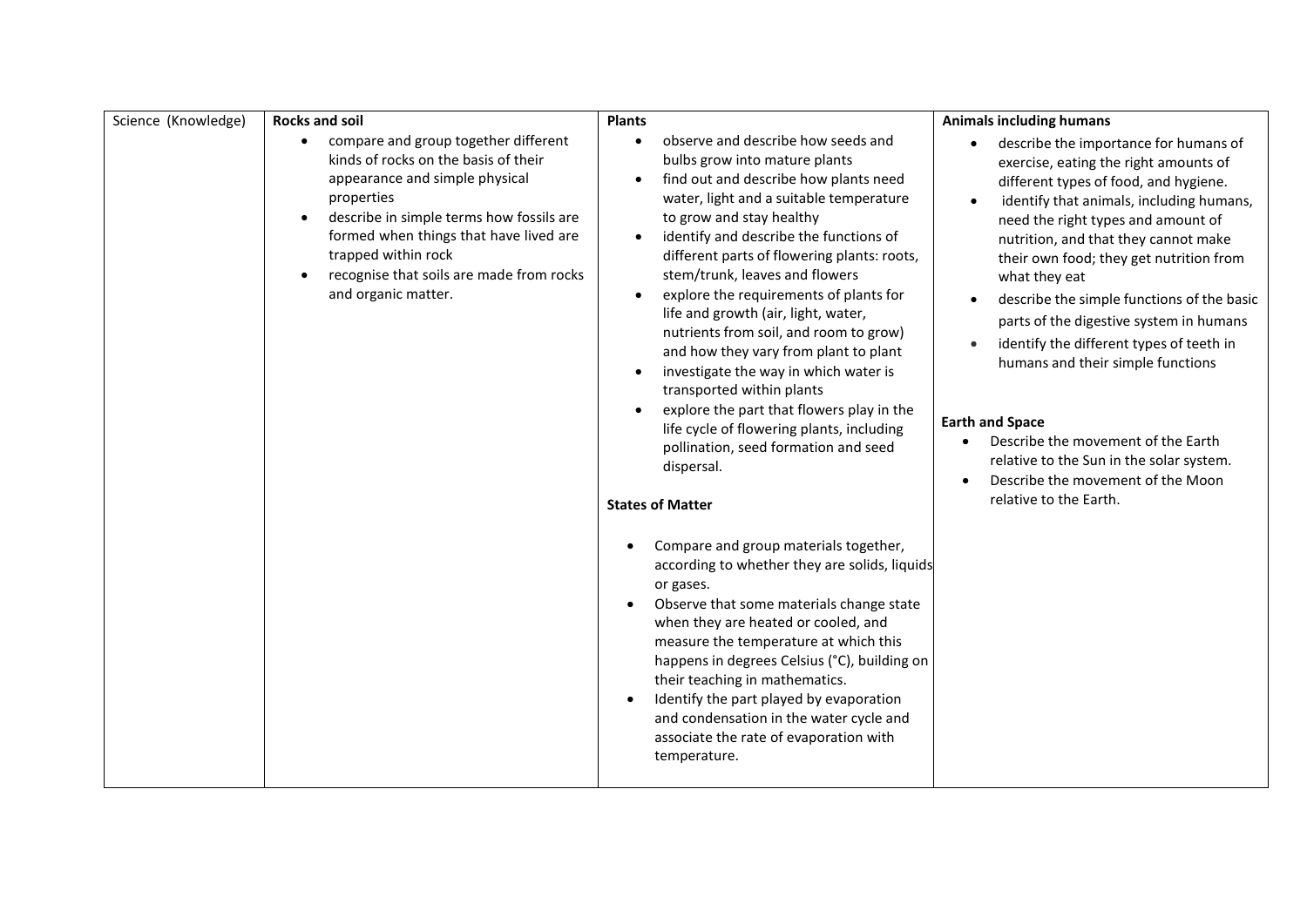| Science (Knowledge) | <b>Rocks and soil</b>                                                                                                                                                                                                                                                                                                                               | <b>Plants</b>                                                                                                                                                                                                                                                                                                                                                                                                                                                                                                                                                                                                                                                                                                                                                              | <b>Animals including humans</b>                                                                                                                                                                                                                                                                                                                                                                                                                                                                                                                                                                                                                                    |
|---------------------|-----------------------------------------------------------------------------------------------------------------------------------------------------------------------------------------------------------------------------------------------------------------------------------------------------------------------------------------------------|----------------------------------------------------------------------------------------------------------------------------------------------------------------------------------------------------------------------------------------------------------------------------------------------------------------------------------------------------------------------------------------------------------------------------------------------------------------------------------------------------------------------------------------------------------------------------------------------------------------------------------------------------------------------------------------------------------------------------------------------------------------------------|--------------------------------------------------------------------------------------------------------------------------------------------------------------------------------------------------------------------------------------------------------------------------------------------------------------------------------------------------------------------------------------------------------------------------------------------------------------------------------------------------------------------------------------------------------------------------------------------------------------------------------------------------------------------|
|                     | compare and group together different<br>$\bullet$<br>kinds of rocks on the basis of their<br>appearance and simple physical<br>properties<br>describe in simple terms how fossils are<br>$\bullet$<br>formed when things that have lived are<br>trapped within rock<br>recognise that soils are made from rocks<br>$\bullet$<br>and organic matter. | observe and describe how seeds and<br>bulbs grow into mature plants<br>find out and describe how plants need<br>water, light and a suitable temperature<br>to grow and stay healthy<br>identify and describe the functions of<br>$\bullet$<br>different parts of flowering plants: roots,<br>stem/trunk, leaves and flowers<br>explore the requirements of plants for<br>$\bullet$<br>life and growth (air, light, water,<br>nutrients from soil, and room to grow)<br>and how they vary from plant to plant<br>investigate the way in which water is<br>transported within plants<br>explore the part that flowers play in the<br>$\bullet$<br>life cycle of flowering plants, including<br>pollination, seed formation and seed<br>dispersal.<br><b>States of Matter</b> | describe the importance for humans of<br>exercise, eating the right amounts of<br>different types of food, and hygiene.<br>identify that animals, including humans,<br>need the right types and amount of<br>nutrition, and that they cannot make<br>their own food; they get nutrition from<br>what they eat<br>describe the simple functions of the basic<br>parts of the digestive system in humans<br>identify the different types of teeth in<br>humans and their simple functions<br><b>Earth and Space</b><br>Describe the movement of the Earth<br>relative to the Sun in the solar system.<br>Describe the movement of the Moon<br>relative to the Earth. |
|                     |                                                                                                                                                                                                                                                                                                                                                     | Compare and group materials together,<br>$\bullet$<br>according to whether they are solids, liquids<br>or gases.<br>Observe that some materials change state<br>$\bullet$<br>when they are heated or cooled, and<br>measure the temperature at which this<br>happens in degrees Celsius (°C), building on<br>their teaching in mathematics.<br>Identify the part played by evaporation<br>$\bullet$<br>and condensation in the water cycle and<br>associate the rate of evaporation with<br>temperature.                                                                                                                                                                                                                                                                   |                                                                                                                                                                                                                                                                                                                                                                                                                                                                                                                                                                                                                                                                    |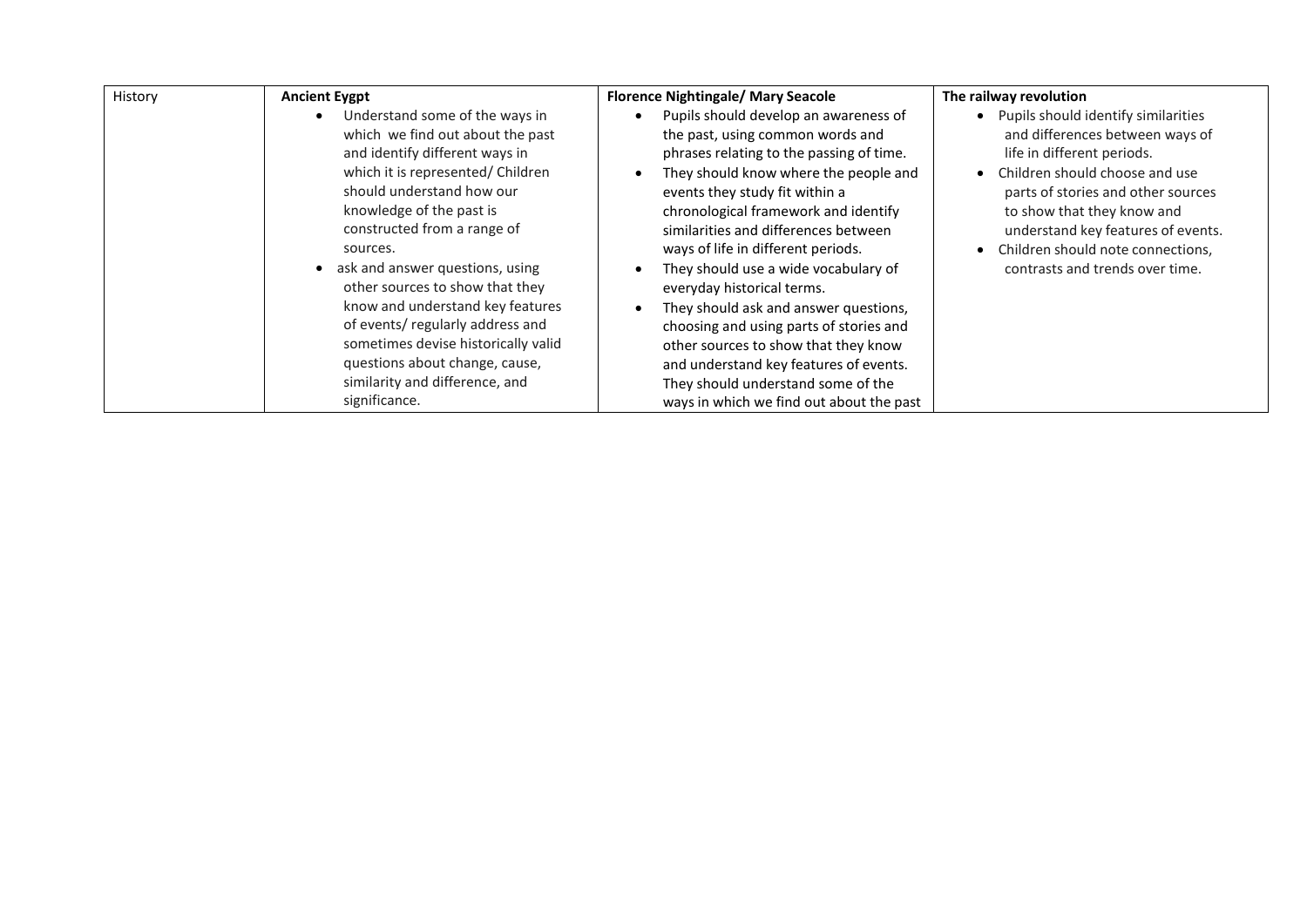| History | <b>Ancient Evgpt</b>                                                                                                                                                                                                                                                                                                                                                                                                                                                                                                   | <b>Florence Nightingale/ Mary Seacole</b>                                                                                                                                                                                                                                                                                                                                                                                                                                                                                                                                                                                                            | The railway revolution                                                                                                                                                                                                                                                                                                                |
|---------|------------------------------------------------------------------------------------------------------------------------------------------------------------------------------------------------------------------------------------------------------------------------------------------------------------------------------------------------------------------------------------------------------------------------------------------------------------------------------------------------------------------------|------------------------------------------------------------------------------------------------------------------------------------------------------------------------------------------------------------------------------------------------------------------------------------------------------------------------------------------------------------------------------------------------------------------------------------------------------------------------------------------------------------------------------------------------------------------------------------------------------------------------------------------------------|---------------------------------------------------------------------------------------------------------------------------------------------------------------------------------------------------------------------------------------------------------------------------------------------------------------------------------------|
|         | Understand some of the ways in<br>which we find out about the past<br>and identify different ways in<br>which it is represented/ Children<br>should understand how our<br>knowledge of the past is<br>constructed from a range of<br>sources.<br>ask and answer questions, using<br>other sources to show that they<br>know and understand key features<br>of events/regularly address and<br>sometimes devise historically valid<br>questions about change, cause,<br>similarity and difference, and<br>significance. | Pupils should develop an awareness of<br>the past, using common words and<br>phrases relating to the passing of time.<br>They should know where the people and<br>events they study fit within a<br>chronological framework and identify<br>similarities and differences between<br>ways of life in different periods.<br>They should use a wide vocabulary of<br>everyday historical terms.<br>They should ask and answer questions,<br>choosing and using parts of stories and<br>other sources to show that they know<br>and understand key features of events.<br>They should understand some of the<br>ways in which we find out about the past | Pupils should identify similarities<br>$\bullet$<br>and differences between ways of<br>life in different periods.<br>Children should choose and use<br>parts of stories and other sources<br>to show that they know and<br>understand key features of events.<br>Children should note connections,<br>contrasts and trends over time. |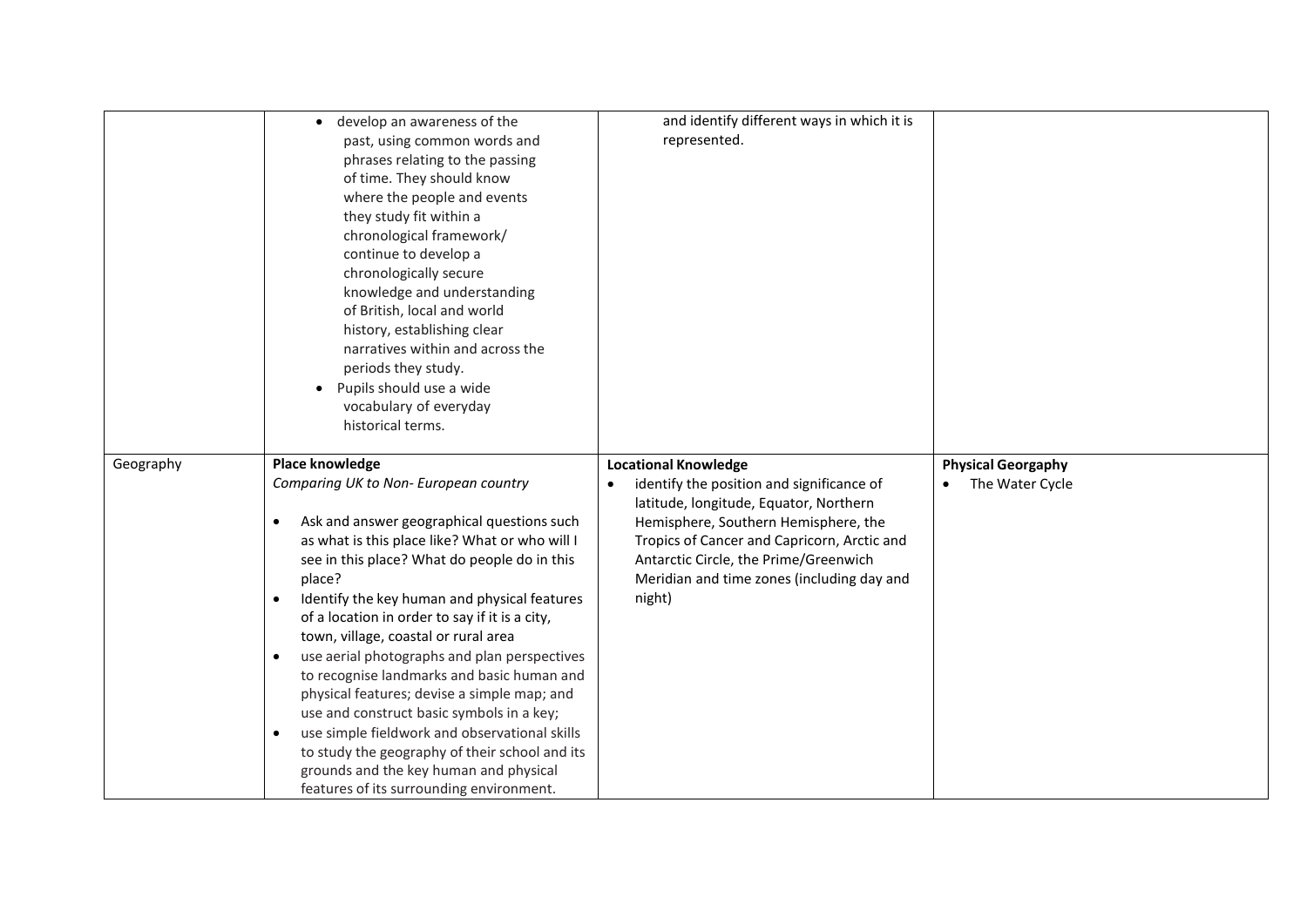|           | develop an awareness of the                                                        | and identify different ways in which it is             |                           |
|-----------|------------------------------------------------------------------------------------|--------------------------------------------------------|---------------------------|
|           | past, using common words and                                                       | represented.                                           |                           |
|           | phrases relating to the passing                                                    |                                                        |                           |
|           | of time. They should know                                                          |                                                        |                           |
|           | where the people and events                                                        |                                                        |                           |
|           | they study fit within a                                                            |                                                        |                           |
|           | chronological framework/                                                           |                                                        |                           |
|           | continue to develop a                                                              |                                                        |                           |
|           | chronologically secure                                                             |                                                        |                           |
|           | knowledge and understanding                                                        |                                                        |                           |
|           | of British, local and world                                                        |                                                        |                           |
|           | history, establishing clear                                                        |                                                        |                           |
|           | narratives within and across the                                                   |                                                        |                           |
|           | periods they study.                                                                |                                                        |                           |
|           | Pupils should use a wide                                                           |                                                        |                           |
|           | vocabulary of everyday                                                             |                                                        |                           |
|           | historical terms.                                                                  |                                                        |                           |
|           |                                                                                    |                                                        |                           |
|           |                                                                                    |                                                        |                           |
|           |                                                                                    |                                                        |                           |
| Geography | Place knowledge                                                                    | <b>Locational Knowledge</b>                            | <b>Physical Georgaphy</b> |
|           | Comparing UK to Non- European country                                              | identify the position and significance of<br>$\bullet$ | The Water Cycle           |
|           |                                                                                    | latitude, longitude, Equator, Northern                 |                           |
|           | Ask and answer geographical questions such<br>$\bullet$                            | Hemisphere, Southern Hemisphere, the                   |                           |
|           | as what is this place like? What or who will I                                     | Tropics of Cancer and Capricorn, Arctic and            |                           |
|           | see in this place? What do people do in this                                       | Antarctic Circle, the Prime/Greenwich                  |                           |
|           | place?                                                                             | Meridian and time zones (including day and             |                           |
|           | Identify the key human and physical features<br>$\bullet$                          | night)                                                 |                           |
|           | of a location in order to say if it is a city,                                     |                                                        |                           |
|           | town, village, coastal or rural area                                               |                                                        |                           |
|           | use aerial photographs and plan perspectives<br>$\bullet$                          |                                                        |                           |
|           | to recognise landmarks and basic human and                                         |                                                        |                           |
|           | physical features; devise a simple map; and                                        |                                                        |                           |
|           | use and construct basic symbols in a key;                                          |                                                        |                           |
|           | use simple fieldwork and observational skills<br>$\bullet$                         |                                                        |                           |
|           | to study the geography of their school and its                                     |                                                        |                           |
|           | grounds and the key human and physical<br>features of its surrounding environment. |                                                        |                           |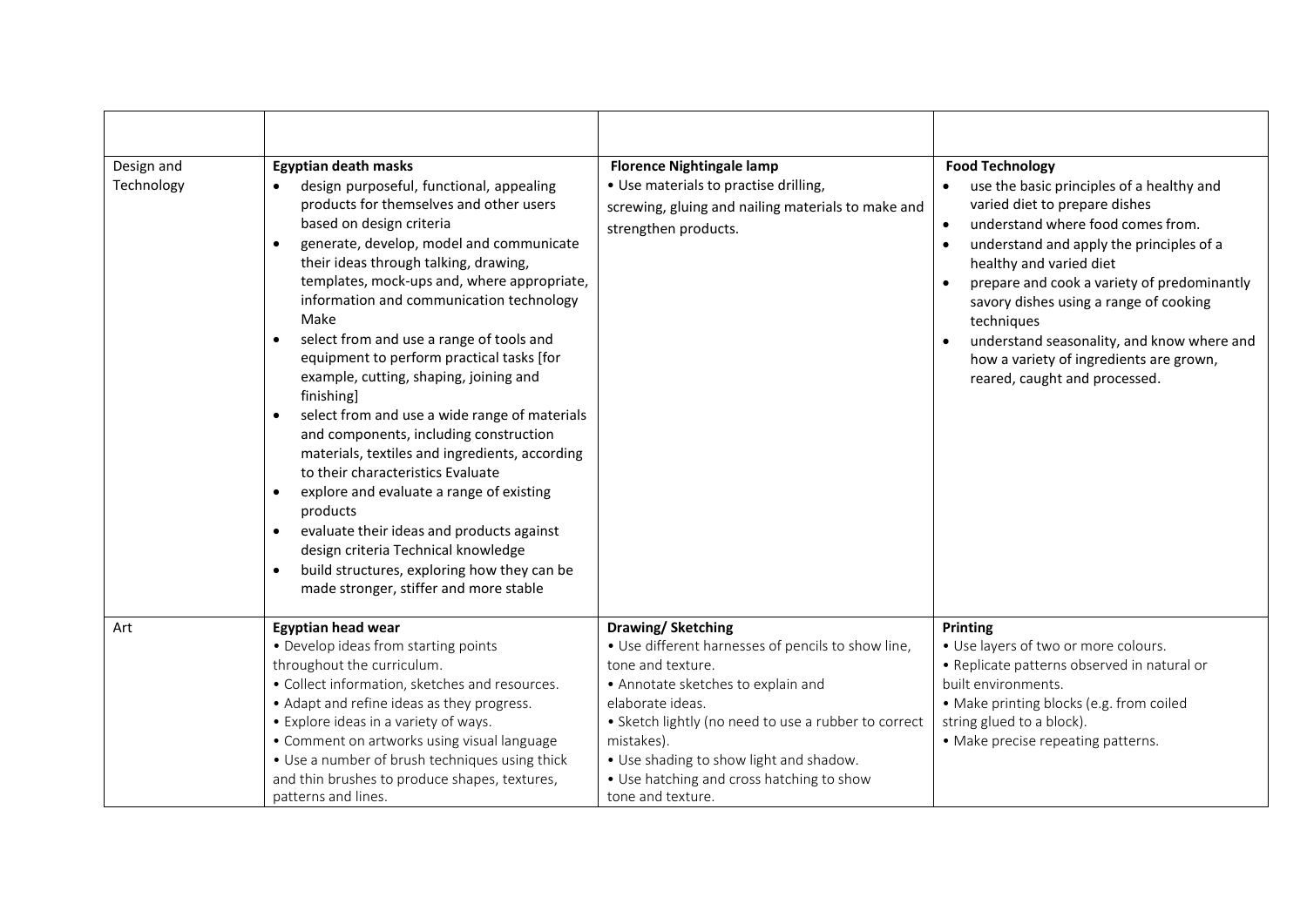| Design and<br>Technology | <b>Egyptian death masks</b><br>design purposeful, functional, appealing<br>$\bullet$<br>products for themselves and other users<br>based on design criteria<br>generate, develop, model and communicate<br>$\bullet$<br>their ideas through talking, drawing,<br>templates, mock-ups and, where appropriate,<br>information and communication technology<br>Make<br>select from and use a range of tools and<br>$\bullet$<br>equipment to perform practical tasks [for<br>example, cutting, shaping, joining and<br>finishing]<br>select from and use a wide range of materials<br>and components, including construction<br>materials, textiles and ingredients, according<br>to their characteristics Evaluate<br>explore and evaluate a range of existing<br>$\bullet$<br>products<br>evaluate their ideas and products against<br>$\bullet$<br>design criteria Technical knowledge<br>build structures, exploring how they can be<br>$\bullet$<br>made stronger, stiffer and more stable | <b>Florence Nightingale lamp</b><br>• Use materials to practise drilling,<br>screwing, gluing and nailing materials to make and<br>strengthen products.                                                                                                                                                                                   | <b>Food Technology</b><br>use the basic principles of a healthy and<br>varied diet to prepare dishes<br>understand where food comes from.<br>$\bullet$<br>understand and apply the principles of a<br>$\bullet$<br>healthy and varied diet<br>prepare and cook a variety of predominantly<br>savory dishes using a range of cooking<br>techniques<br>understand seasonality, and know where and<br>how a variety of ingredients are grown,<br>reared, caught and processed. |
|--------------------------|----------------------------------------------------------------------------------------------------------------------------------------------------------------------------------------------------------------------------------------------------------------------------------------------------------------------------------------------------------------------------------------------------------------------------------------------------------------------------------------------------------------------------------------------------------------------------------------------------------------------------------------------------------------------------------------------------------------------------------------------------------------------------------------------------------------------------------------------------------------------------------------------------------------------------------------------------------------------------------------------|-------------------------------------------------------------------------------------------------------------------------------------------------------------------------------------------------------------------------------------------------------------------------------------------------------------------------------------------|-----------------------------------------------------------------------------------------------------------------------------------------------------------------------------------------------------------------------------------------------------------------------------------------------------------------------------------------------------------------------------------------------------------------------------------------------------------------------------|
| Art                      | Egyptian head wear<br>• Develop ideas from starting points<br>throughout the curriculum.<br>• Collect information, sketches and resources.<br>• Adapt and refine ideas as they progress.<br>• Explore ideas in a variety of ways.<br>• Comment on artworks using visual language<br>• Use a number of brush techniques using thick<br>and thin brushes to produce shapes, textures,<br>patterns and lines.                                                                                                                                                                                                                                                                                                                                                                                                                                                                                                                                                                                   | Drawing/Sketching<br>• Use different harnesses of pencils to show line,<br>tone and texture.<br>• Annotate sketches to explain and<br>elaborate ideas.<br>• Sketch lightly (no need to use a rubber to correct<br>mistakes).<br>• Use shading to show light and shadow.<br>• Use hatching and cross hatching to show<br>tone and texture. | Printing<br>• Use layers of two or more colours.<br>• Replicate patterns observed in natural or<br>built environments.<br>• Make printing blocks (e.g. from coiled<br>string glued to a block).<br>• Make precise repeating patterns.                                                                                                                                                                                                                                       |